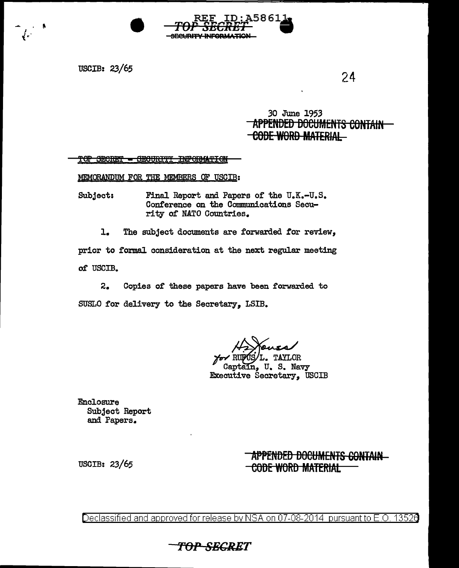

**USCIB: 23/65** 

 $24$ 

### 30 June 1953 APPENDED DOCUMENTS CONTAIN <del>-CODE WORD MATERIAL</del>

#### TOP SECRET - SECURITI INFORMATION

MEMORANDUM FOR THE MEMBERS OF USCIB:

Subject: Final Report and Papers of the U.K.-U.S. Conference on the Communications Security of NATO Countries.

 $\mathbf{L}$ The subject documents are forwarded for review,

prior to formal consideration at the next regular meeting

of USCIB.

 $2.$ Copies of these papers have been forwarded to SUSLO for delivery to the Secretary, LSIB.

L. TAYLOR

Captain, U. S. Navy **Executive Secretary. USCIB** 

Enclosure Subject Report and Papers.

### APPENDED DOCUMENTS CONTAIN **CODE WORD MATERIAL**

**USCIB: 23/65** 

Declassified and approved for release by NSA on 07-08-2014  $\,$  pursuant to E.O. 13526

TOP-SEGRET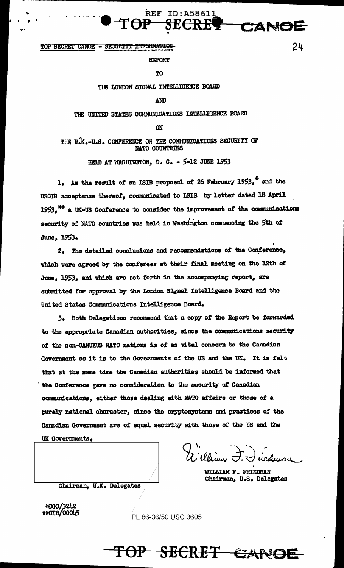TOP SECRET CANOE - SECURITY INFORMATION

**REPORT** 

**TO** 

**REF ID:A58611** 

SECRE

### THE LONDON SIGNAL INTELLIGENCE BOARD

AND

THE UNITED STATES COMMUNICATIONS INTELLIGENCE BOARD

ON

THE U.K.-U.S. CONFERENCE ON THE COMMUNICATIONS SECURITY OF NATO COUNTRIES

HELD AT WASHINGTON, D. C. - 5-12 JUNE 1953

1. As the result of an ISIB proposal of 26 February 1953," and the USCIB acceptance thereof, communicated to ISIB by letter dated 18 April 1953.<sup>7\*</sup> a UK-US Conference to consider the improvement of the communications security of NATO countries was held in Washington commencing the 5th of June, 1953.

2. The detailed conclusions and recommendations of the Conference, which were agreed by the conferees at their final meeting on the 12th of June, 1953, and which are set forth in the accompanying report, are submitted for approval by the London Signal Intelligence Board and the United States Communications Intelligence Board.

3. Both Delegations recommend that a copy of the Report be forwarded to the appropriate Canadian authorities, since the communications security of the non-CANUKUS NATO nations is of as vital concern to the Canadian Government as it is to the Governments of the US and the UK. It is felt that at the same time the Canadian authorities should be informed that the Conference gave no consideration to the security of Canadian communications, either those dealing with NATO affairs or those of a purely national character, since the cryptosystems and practices of the Ganadian Government are of equal security with those of the US and the UK Governments.

WILLIAM F. FRIEDMAN Chairman, U.S. Delegates

Chairman, U.K. Delegates

\*DGC/3242 \*\*CIB/00045

PL 86-36/50 USC 3605



24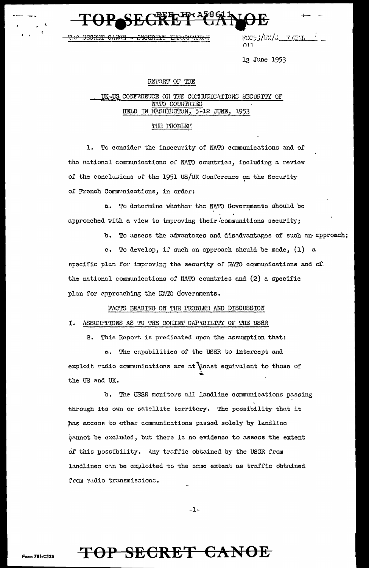rco53/EX/a<u>o Frants</u> ∄ו∩

12 June 1953

### REPORT OF THE

#### UK-US CONFERENCE ON THE COMMUNICATIONS SECURITY OF NATO COUNTRIES IELD IN WASHINGTON, 5-12 JUNE, -1953

### THE PROBLEY.

1. To consider the insecurity of NATO communications and of the national communications of NATO countries, including a review of the conclusions of the 1951 US/UK Conference on the Security of French Communications, in order:

a. To determine whether the NATO Governments should be approached with a view to improving their communitions security;

b. To assess the advantages and disadvantages of such an approach;

c. To develop, if such an approach should be made, (1) a specific plan for improving the security of NATO communications and of the national communications of NATO countries and (2) a specific plan for approaching the HATO Governments.

### FACTS BEARING ON THE PROBLEM AND DISCUSSION

### I. ASSUPTIONS AS TO THE CONINT CAPABILITY OF THE USSR

2. This Report is predicated upon the assumption that:

a. The capabilities of the USSR to intercept and exploit radio communications are at least equivalent to those of the US and UK.

b. The USSR monitors all landline communications passing through its own or satellite territory. The possibility that it has access to other communications passed solely by landline cannot be excluded, but there is no evidence to assess the extent of this possibility. Any traffic obtained by the USSR from landlines can be exploited to the same extent as traffic obtained from radio transmissions.

 $-1-$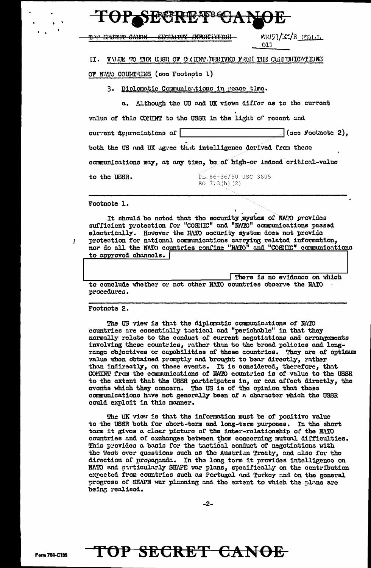| mne Chinaine CAINH                 | ESC53/EN/R_FLILL<br>SIMILITIN FRANSTAPTON<br>011                     |
|------------------------------------|----------------------------------------------------------------------|
| TI.                                | VALUE TO THE USE OF CEINT DERIVED FROM THE CONFUNIONS                |
| OF NATO COUNTRIES (cee Footnote 1) |                                                                      |
| 3.                                 | Diplomatic Communications in peace time.                             |
|                                    | a. Although the US and UK views differ as to the current             |
|                                    |                                                                      |
|                                    | value of this COMINT to the USSR in the light of recent and          |
| current ipproclations of           | (see Footnote 2),                                                    |
|                                    | both the US and UK agree that intelligence derived from these        |
|                                    | communications may, at any time, be of high-or indeed critical-value |
| to the USSR.                       | PL 86-36/50 USC 3605<br>EO $3.3(h)$ (2)                              |

It should be noted that the security system of NATO provides sufficient protection for "COSHIC" and "NATO" communications passed electrically. However the HATO security system does not provide protection for national communications carrying related information, nor do all the NATO countries confine "NATO" and "COSMIC" communications to approved channels. |

|                                                                  |  |  |  | There is no evidence on which |  |  |
|------------------------------------------------------------------|--|--|--|-------------------------------|--|--|
| to conclude whether or not other NATO countries observe the NATO |  |  |  |                               |  |  |
| procedures.                                                      |  |  |  |                               |  |  |

Footnote 2.

 $\overline{I}$ 

The US view is that the diplomatic communications of NATO countries are essentially tactical and "perishable" in that they normally relate to the conduct of current negotiations and arrangements involving these countries, rather than to the broad policies and long-range objectives or capabilities of these countries. They are of optimum value when obtained promptly and brought to bear directly, rather than indirectly, on these events. It is considered, therefore, that COMINT from the communications of NATO countries is of value to the USSR to the extent that the USSR participates in, or can affect directly, the events which they concern. The US is of the opinion that these communications have not generally been of a character which the USSR could exploit in this manner.

The UK view is that the information must be of positive value to the USSR both for short-term and long-term purposes. In the short term it gives a clear picture of the inter-relationship of the NATO countries and of exchanges between them concerning mutual difficulties. This provides a basis for the tactical conduct of negotiations with the West over questions such as the Austrian Treaty, and also for the direction of propaganda. In the long term it provides intelligence on MATO and purticularly SHAPE war plans, specifically on the contribution expected from countries such as Portugal and Turkey and on the general progress of SHAPE war planning and the extent to which the plans are being realised.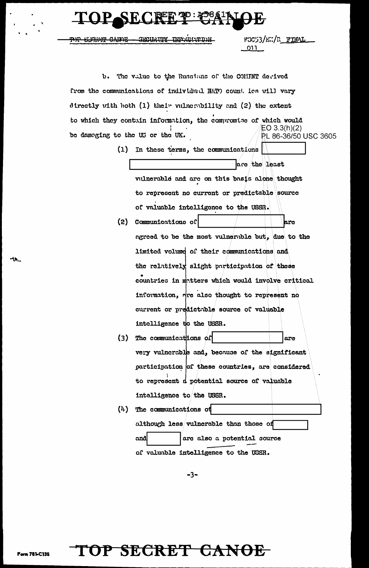# SECRET TO: 35861ALC

SECURITY INFORMATION **ARTHAIN CYTIDE** 

FGC53/EX/R FINAL 011

b. The value to the Russians of the COMINT derived from the communications of individual NATO count. ies will vary directly with both  $(1)$  their vulnerability and  $(2)$  the extent to which they contain information, the compromise of which would  $EO 3.3(h)(2)$ be domaging to the US or the UK. PL 86-36/50 USC 3605 (1) In these terms, the communications are the least vulnerable and are on this basis alone thought to represent no current or predictable source of valuable intelligence to the USSR. (2) Communications of bro agreed to be the most vulnerable but, due to the limited volume of their communications and the relatively slight participation of these countries in matters which would involve critical information, rire also thought to represent no current or predictable source of valuable intelligence to the USSR. (3) The communications of are very vulncrable and, because of the significant participation of these countries, are considered to represent d potential source of valuable intelligence to the USSR.  $(4)$  The communications of although less vulnerable than those of and are also a potential source of valuable intelligence to the USSR.

 $-3-$ 

TOP SECRET CANOE

**Form 781-C135**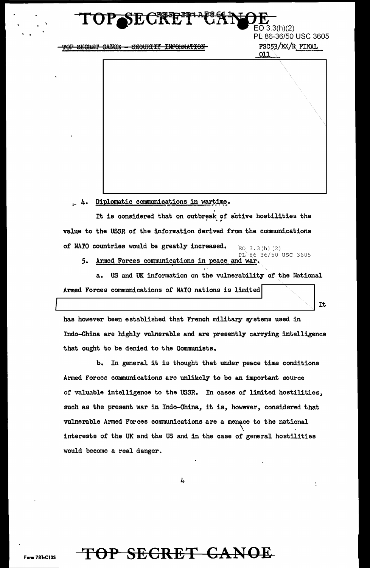# SECRE

TOP SECRET CANOE - SECURITY INFORMATION

 $O(3.3(h)(2))$ PL 86-36/50 USC 3605 FSC53/EX/R FINAL  $011$ 

It

4. Diplomatic communications in wartime.

It is considered that on outbreak of active hostilities the value to the USSR of the information derived from the communications of NATO countries would be greatly increased. EQ  $3.3(h)$  (2)

PL 86-36/50 USC 3605 5. Armed Forces communications in peace and war.

a. US and UK information on the vulnerability of the National Armed Forces communications of NATO nations is limited

has however been established that French military systems used in Indo-China are highly vulnerable and are presently carrying intelligence that ought to be denied to the Communists.

b. In general it is thought that under peace time conditions Armed Forces communications are unlikely to be an important source of valuable intelligence to the USSR. In cases of limited hostilities, such as the present war in Indo-China, it is, however, considered that vulnerable Armed Forces communications are a menace to the national interests of the UK and the US and in the case of general hostilities would become a real danger.

4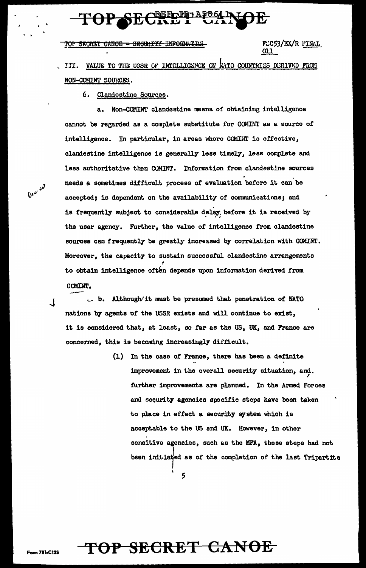# **TOP SECT**

TOP SECRET CANOE - SECULITY INFORMATION

FUC53/EX/R FINAL  $011$ 

VALUE TO THE USSR OF INTELLIGENCE ON KATO COUNTRIES DERIVED FROM III. NON-COMINT SOURCES.

6. Clandostine Sources.

Non-COMINT clandestine means of obtaining intelligence  $\mathbf{a}$ . cannot be regarded as a complete substitute for COMINT as a source of intelligence. In particular, in areas where COMINT is effective, clandestine intelligence is generally less timely, less complete and less authoritative than COMINT. Information from clandestine sources needs a sometimes difficult process of evaluation before it can be accepted; is dependent on the availability of communications; and is frequently subject to considerable delay before it is received by the user agency. Further, the value of intelligence from clandestine sources can frequently be greatly increased by correlation with COMINT. Moreover, the capacity to sustain successful clandestine arrangements to obtain intelligence often depends upon information derived from COMINT.

. b. Although/it must be presumed that penetration of NATO nations by agents of the USSR exists and will continue to exist, it is considered that, at least, so far as the US, UK, and France are concerned, this is becoming increasingly difficult.

> (1) In the case of France, there has been a definite improvement in the overall security situation, and. further improvements are planned. In the Armed Forces and security agencies specific steps have been taken to place in effect a security system which is acceptable to the US and UK. However, in other sensitive agencies, such as the MFA, these steps had not been initiated as of the completion of the last Tripartite

TOP SECRET CANOE

5

 $6\mu^{\nu}$ 

 $\cdot$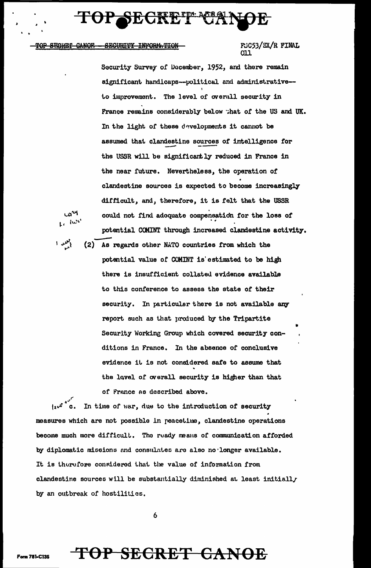# SECREPIPEA

#### <del>CANOF.</del> **SECURITY INFORM TION** <del>STGRIE</del>I

iw.

## FUC53/EX/R FINAL

Security Survey of December, 1952, and there remain significant handicaps--political and administrative-to improvement. The level of overall security in France remains considerably below that of the US and UK. In the light of these developments it cannot be assumed that clandestine sources of intelligence for the USSR will be significantly reduced in France in the near future. Nevertheless, the operation of clandestine sources is expected to become increasingly difficult, and, therefore, it is felt that the USSR could not find adoquate compensation for the loss of potential COMINT through increased clandestine activity.

(2) As regards other NATO countries from which the potential value of COMINT is estimated to be high there is insufficient collated evidence available to this conference to assess the state of their security. In particular there is not available any report such as that produced by the Tripartite Security Working Group which covered security conditions in France. In the absence of conclusive evidence it is not considered safe to assume that the level of overall security is higher than that of France as described above.

In time of war, due to the introduction of security measures which are not possible in peacetime, clandestine operations become much more difficult. The ready means of communication afforded by diplomatic missions and consulates are also no longer available. It is therefore considered that the value of information from clandestine sources will be substantially diminished at least initially by an outbreak of hostilities.

6

## F<del>OP SECRET CANOE</del>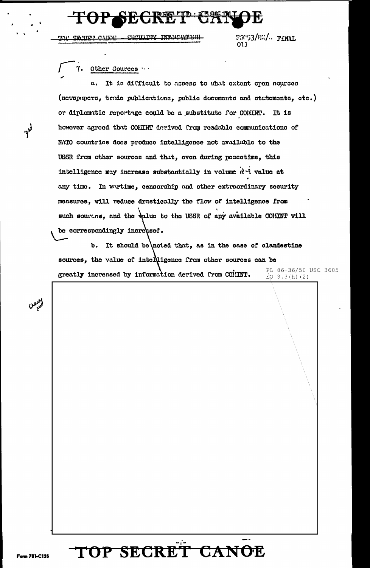# **STIT**

**IMMARIAD.TOM** <u>CWCURITY</u> تنمتنت

TGC53/EX/ FINAL 013

#### 7. Other Sources

It is difficult to assess to what extent open sources (newspapers, trade publications, public documents and statements, etc.) or diplomatic reportage could be a substitute for COMINT. It is however agreed that COMINT derived from readable communications of NATO countries does produce intelligence not available to the USSR from other sources and that, even during peacetime, this intelligence may increase substantially in volume did value at any time. In wartime, censorship and other extraordinary security measures, will reduce drastically the flow of intelligence from such sources, and the walue to the USSR of any available COMINT will be correspondingly increased.

It should be noted that, as in the case of clandestine  $\mathbf{b}$ . sources, the value of intelligence from other sources can be PL 86-36/50 USC 3605 greatly increased by information derived from COMINT. EQ  $3.3(h)$  (2)

**OP SECRET CANOE** 

 $r^{\}$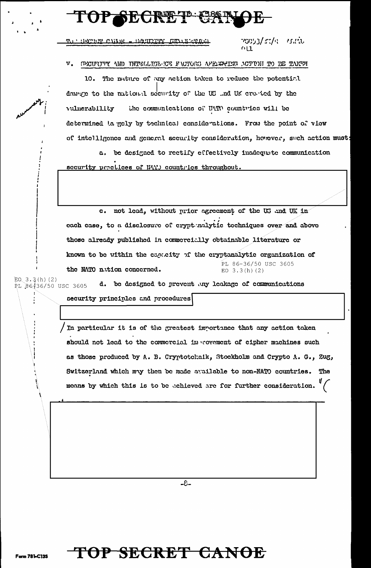# TOP SECRET CAN

SECTIFICATION - SECURITY INTOXICAL

าธิชีวิว/ระ/ก. - กระทับ

V. SECURITY AND INTELLIGENCE FACTORS AFENGERER ACTIVILITY BE TAKEN

10. The nature of any action taken to reduce the potential. damage to the national security of the US ..nd UK created by the the communications of HATO countries will be vulnerability determined to gely by technical considerations. From the point of view of intelligence and general security consideration, however, such action must:

a. be designed to rectify effectively inadequate communication security practices of NAT countries throughout.

c. not lead, without prior agreement of the US and UK in each case, to a disclosure of crypt mulytic techniques over and above those already published in commercially obtainable literature or known to be within the capacity of the cryptonalytic organization of PL 86-36/50 USC 3605 the NATO nation concerned. EO  $3.3(h)$  (2)

 $EO. 3.3(h) (2)$ d. be designed to prevent any leakage of communications PL 86-36/50 USC 3605

security principles and procedures

In particular it is of the greatest importance that any action taken should not lead to the commercial in rovement of cipher machines such as those produced by A. B. Cryptotcknik, Stockholm and Crypto A. G., Zug, Switzerland which may then be made available to non-NATO countries. The means by which this is to be echieved are for further consideration.

 $-8-$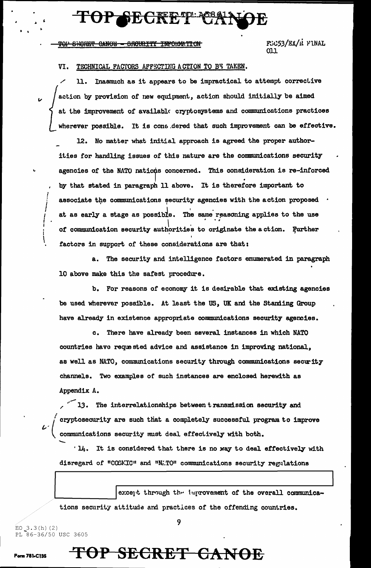# OP SECI

#### TOP SHORET CANOE - SRCURITY INFORMATION

FGC53/EX/R FINAL 011

#### TECHNICAL FACTORS AFFECTING ACTION TO BE TAKEN. VI.

Inasmuch as it appears to be impractical to attempt corrective 11. action by provision of new equipment, action should initially be aimed at the improvement of available cryptosystems and communications practices wherever possible. It is cons dered that such improvement can be effective.

12. No matter what initial approach is agreed the proper authorities for handling issues of this nature are the communications security agencies of the NATO nations concerned. This consideration is re-inforced by that stated in paragraph 11 above. It is therefore important to associate the communications security agencies with the action proposed at as early a stage as possible. The same reasoning applies to the use of communication security authorities to originate the action. Further factors in support of these considerations are that:

a. The security and intelligence factors enumerated in paragraph 10 above make this the safest procedure.

b. For reasons of economy it is desirable that existing agencies be used wherever possible. At least the US, UK and the Standing Group have already in existence appropriate communications security agencies.

There have already been several instances in which NATO  $\mathbf{c}$ . countries have requested advice and assistance in improving national, as well as NATO, communications security through communications security channels. Two examples of such instances are enclosed herewith as Appendix A.

 $\sim$  13. The interrelationships between transmission security and cryptosecurity are such that a completely successful program to improve communications security must deal effectively with both.

'14. It is considered that there is no way to deal effectively with disregard of "COSMIC" and "NATO" communications security regulations

except through the improvement of the overall communications security attitude and practices of the offending countries.

 $EO_3.3(h) (2)$ PL 86-36/50 USC 3605

Form 781-C135

 $\overline{u}$ 

### 9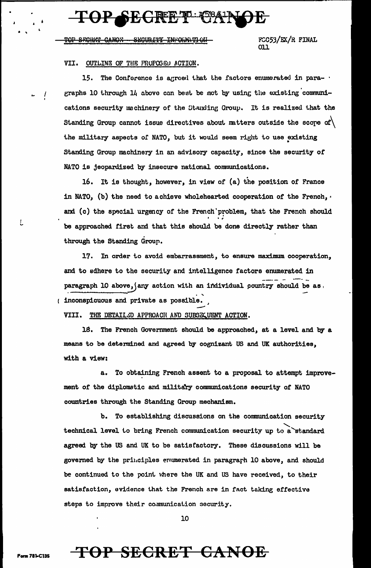# **TOP SECRET 584**

CANOW SWOURIY INVOLK FCC53/EX/R FINAL ר רס.

### VII. OUTLING OF THE FROPOSED ACTION.

The Conference is agreed that the factors enumerated in para-15. graphs 10 through 14 above can best be mot by using the existing communications security machinery of the Standing Group. It is realized that the Standing Group cannot issue directives about matters outside the scope of  $\setminus$ the military aspects of NATO, but it would seem right to use existing Standing Group machinery in an advisory capacity, since the security of NATO is jeopardized by insecure national communications.

16. It is thought, however, in view of (a) the position of France in NATO, (b) the need to achieve wholehearted cooperation of the French, . and (c) the special urgency of the French problem, that the French should be approached first and that this should be done directly rather than through the Standing Group.

17. In order to avoid embarrassment, to ensure maximum cooperation, and to adhere to the security and intelligence factors enumerated in paragraph 10 above, (any action with an individual country should be as. ( inconspicuous and private as possible.

VIII. THE DETAILSD APPROACH AND SUBSEQUENT ACTION.

16. The French Government should be approached, at a level and by a means to be determined and agreed by cognizant US and UK authorities, with a view:

To obtaining French assent to a proposal to attempt improve**a.** ment of the diplomatic and military communications security of NATO countries through the Standing Group mechanism.

b. To establishing discussions on the communication security technical level to bring French communication security up to a standard agreed by the US and UK to be satisfactory. These discussions will be governed by the principles enumerated in paragraph 10 above, and should be continued to the point where the UK and US have received, to their satisfaction, evidence that the French are in fact taking effective steps to improve their communication security.

10

**Form 781-C135** 

L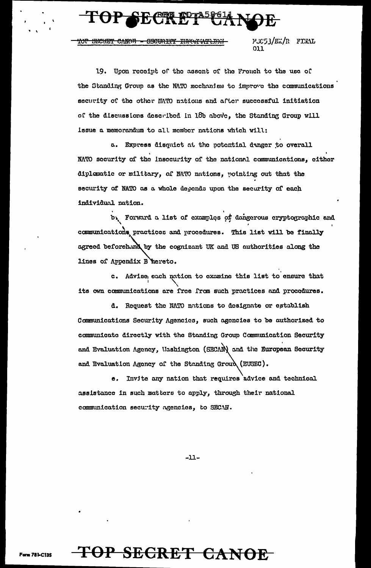<del>INT SECRET CANOR - SECURITY INVATIVELIAN</del>

FUC53/EX/R FINAL ו וח

19. Upon receipt of the assent of the French to the use of the Standing Group as the MATO mechanism to improve the communications security of the other NATO nations and after successful initiation of the discussions described in 18b above, the Standing Group will issue a memorandum to all member nations which will:

a. Express disquict at the potential danger to overall NATO security of the insecurity of the national communications, either diplomatic or military, of NATO nations, pointing out that the security of NATO as a whole depends upon the security of each individual nation.

b. Forward a list of examples of dangerous eryptographic and communications practices and procedures. This list will be finally agreed beforehand by the cognizant UK and US authorities along the lines of Appendix B hereto.

c. Advise, each nation to examine this list to ensure that its own communications are free from such practices and procedures.

d. Request the NATO nations to designate or establish Communications Security Agencies, such agencies to be authorized to communicate directly with the Standing Group Communication Security and Evaluation Agency, Washington (SECAN) and the European Security and Evaluation Agency of the Standing Groud (EUSEC).

e. Invite any nation that requires advice and technical assistance in such matters to apply, through their national communication security agencies, to SECAN.

 $-11-$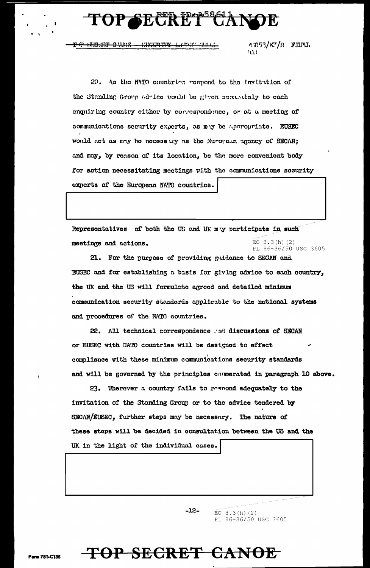### <u>Rin</u>g **SE**

\*\*\*\*\*\*\*\*\*\*\*\*\*\*\*\*\*\*\*\*\*\*\*\*\* ⊞₩ \*\*\*<del>8\*\*\*\*\*\*</del>

#EC53/E7/R FINL  $03<sub>1</sub>$ 

20. As the MATO countries respond to the invitation of the Standing Group adulee would be given semantely to each enquiring country either by correspondence, or at a meeting of communications security experts, as may be appropriate. EUSEC would act as may be necessary as the Suropean agency of SECAN; and may, by reason of its location, be the more convenient body for action necessitating meetings with the communications security experts of the European NATO countries.

Representatives of both the US and UK may participate in such EO  $3.3(h)$  (2) meetings and actions. PL 86-36/50 USC 3605

21. For the purpose of providing guidance to SECAN and EUSEC and for establishing a basis for giving advice to each country, the UK and the US will formulate agreed and detailed minimum communication security standards applicable to the national systems and procedures of the NATO countries.

22. All technical correspondence and discussions of SECAN or EUSEC with HATO countries will be designed to effect compliance with these minimum communications security standards and will be governed by the principles commerated in paragraph 10 above.

23. Wherever a country fails to respond adequately to the invitation of the Standing Group or to the advice tendered by SECAN/EUSEC, further steps may be necessary. The nature of these steps will be decided in consultation between the US and the UK in the light of the individual cases.

 $-12-$ 

TOP SECRET CANOE

EO  $3.3(h)$  (2) PL 86-36/50 USC 3605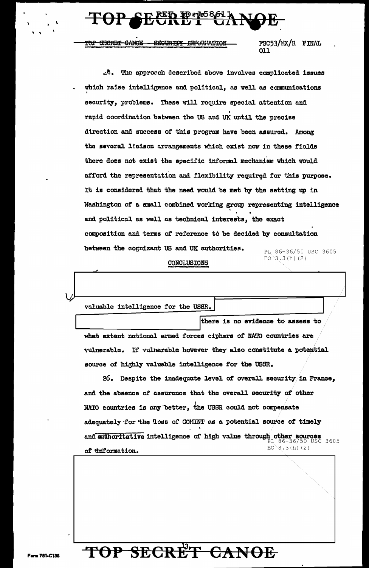### $\Theta$ P $\textcolor{red}{\bullet}$ se  $\overline{\mathbf{k}\mathbf{x}}$

TOP SHORET CANOE - SECURITY INFORMITON FSC53/EX/R FINAL 011

e4. The approach described above involves complicated issues which raise intelligence and political, as well as communications security, problems. These will require special attention and rapid coordination between the US and UK until the precise direction and success of this program have been assured. Among the several liaison arrangements which exist now in these fields there does not exist the specific informal mechanism which would afford the representation and flexibility required for this purpose. It is considered that the need would be met by the setting up in Washington of a small combined working group representing intelligence and political as well as technical interests, the exact composition and terms of reference to be decided by consultation between the cognizant US and UK authorities. PL 86-36/50 USC 3605  $EO^3.3(h) (2)$ CONCLUSIONS

valuable intelligence for the USSR.

there is no evidence to assess to what extent national armed forces ciphers of NATO countries are vulnerable. If vulnerable however they also constitute a potential source of highly valuable intelligence for the USSR.

26. Despite the inadequate level of overall security in France, and the absence of assurance that the overall security of other NATO countries is any better, the USSR could not compensate adequately for the loss of COMINT as a potential source of timely and suthoritative intelligence of high value through other sources 3605  $EO^{\frown}3.3(h)$  (2) of thiformation.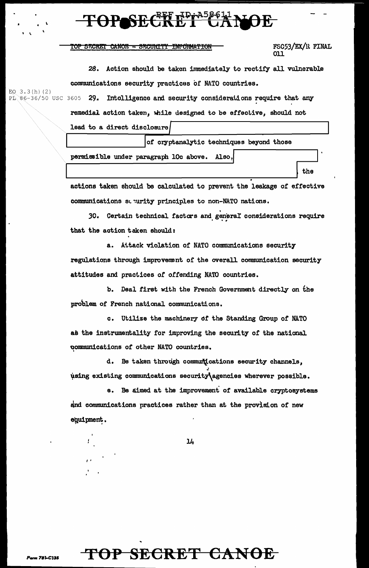### TOP SECRET CANOE - SECURITY INFORMATION

FSC53/EX/U FINAL 011

the

28. Action should be taken immediately to rectify all vulnerable communications security practices of NATO countries. EQ  $3.3(h)$  (2)

Ph 86-36/50 USC 3605 29. Intolligence and security considerations require that any

remedial action taken, while designed to be effective, should not

lead to a direct disclosure

 $\ddot{\phantom{0}}$ 

of cryptanalytic techniques beyond those

permissible under paragraph 10c above. Also.

actions taken should be calculated to prevent the leakage of effective communications so urity principles to non-NATO nations.

30. Certain technical factors and general considerations require that the action taken should:

a. Attack violation or NATO communications security regulations through improvement of the overall communication security attitudes and practices *of* offending NATO countries.

b. Deal first with the French Government directly on the problem of French national communications.

c. Utilize the machinery df the Standing Group of NATO as the instrumentality for improving the security of the national ~omrnunications or other NATO countries. <sup>I</sup>

d. Be taken through communications security channels, ' ¥sing existing communications securitY\agencies wherever possible.

e. Be aimed at the improvement or available cryptosystems and communications practices rather than at the provision or new equipment.

14

# **TOP SECRET CANOE**

I'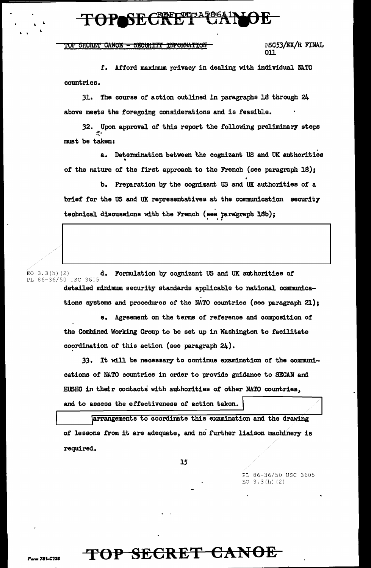# TOPSECT

#### TOP SECRET CANOE - SECULITY INFORMATION

**FSC53/EX/R FINAL** 011

f. Afford maximum privacy in dealing with individual NATO countries.

31. The course of action outlined in paragraphs 18 through 24 above meets the foregoing considerations and is feasible.

32. Upon approval of this report the following preliminary steps must be taken:

a. Determination between the cognizant US and UK authorities of the nature of the first approach to the French (see paragraph 18);

b. Preparation by the cognizant US and UK authorities of a brief for the US and UK representatives at the communication security technical discussions with the French (see paragraph 18b);

d. Formulation by cognizant US and UK authorities of EO  $3.3(h)$  (2) PL 86-36/50 USC 3605 detailed minimum security standards applicable to national communications systems and procedures of the NATO countries (see paragraph 21);

> e. Agreement on the terms of reference and composition of the Combined Working Group to be set up in Washington to facilitate coordination of this action (see paragraph 24).

33. It will be necessary to continue examination of the communications of NATO countries in order to provide guidance to SECAN and EUSEC in their contacts with authorities of other NATO countries, and to assess the effectiveness of action taken.

arrangements to coordinate this examination and the drawing of lessons from it are adequate, and no further liaison machinery is required.

15

PL 86-36/50 USC 3605 EO  $3.3(h)(2)$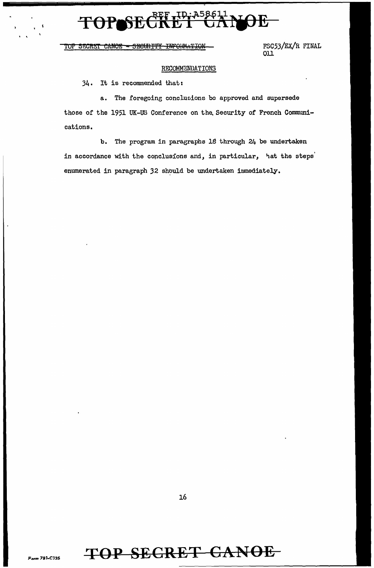### REF ID. **A58611** 干

#### **INFORMATION** TOP SECRET CANOE <del>SECURTITY</del>

FSC53/EX/R FINAL  $011$ 

### RECOMMENDATIONS

34. It is recommended that:

a. The foregoing conclusions be approved and supersede those of the 1951 UK-US Conference on the Security of French Communications.

b. The program in paragraphs 18 through 24 be undertaken in accordance with the conclusions and, in particular, hat the steps enumerated in paragraph 32 should be undertaken immediately.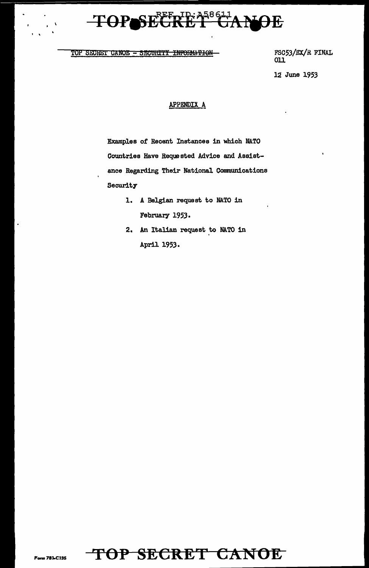## SECRET CANOE **TOPI**

TOP SECRET CANOE - SECURITY INFORMATION

 $\mathbf{r}=\mathbf{V}$ 

FSC53/EX/R FINAL  $011$ 

12 June 1953

### APPENDIX A

Examples of Recent Instances in which NATO Countries Have Requested Advice and Assistance Regarding Their National Communications Security

- 1. A Belgian request to NATO in February 1953.
- 2. An Italian request to NATO in April 1953.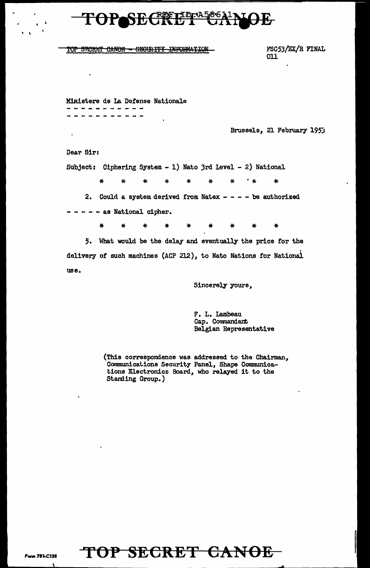### <u>o o</u> 竹

### TOP SECRET CANOE - SECURITY INFORMATION

FSC53/EX/R FINAL 011

Ministere de La Defense Nationale . . . . . . . . . *.* . ----------

Brussels, 21 February 1953

Dear Sir:

Subject: Ciphering System - 1) Nato 3rd Level - 2) National

 $^{\bullet}$  46 Ą. ¥.  $\mathbf{y}_i$ 基  $\Delta$  $46$  $\star$ 

2. Could a system derived from Natex  $- - -$  be authorized

- - - as National cipher.

 $\star$  $\pmb{\ast}$  $\bullet$ ₩ ₩ ¥  $\ast$ 

5. What would be the delay and eventually the price for the delivery of such machines (ACP 212), to Nato Nations for National use.

Sincerely yours,

F. L. Lambeau<br>Cap. Commandant Belgian Representative

(This correspondence was addressed to the Chairman, Communications Security Panel, Shape Communications Electronics Board, who relayed it to the Standing Group.)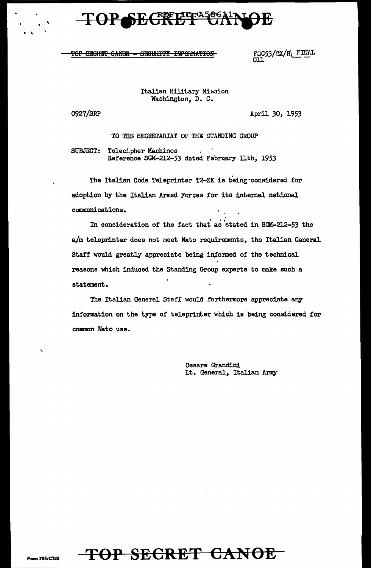### TOP SECRETERA! <u>ეგი)</u>

### TOP SEGHET GANGE - SEGURITY INPONMATION

FUC53/EX/R\FINAL

Italian Military Mission Washington, D. C.

0927/SnP

\

 $\ddot{\ }$ 

April 30, 1953

TO THE SECRETARIAT OF THE STANDING GROUP

SUBJECT: Telecipher Machinos Reference SGM-212-53 dated February 11th, 1953

The Italian Code Teleprinter T2-ZK is being·considered for adoption by the Italian Armed Forces for its internal national communications.

In consideration of the fact that as stated in SGM-212-53 the a/m teleprinter does not meet Nato requirements, the Italian General Staff would greatly appreciate being informed of the technical reasons which induced the Standing Group experts to make such a statement.

The Italian General Staff would furthermore appreciate any information on the type of teleprinter which is being considered for conman Nato use.

> Cesare Grandini Lt. General, Italian Army

 $\lambda$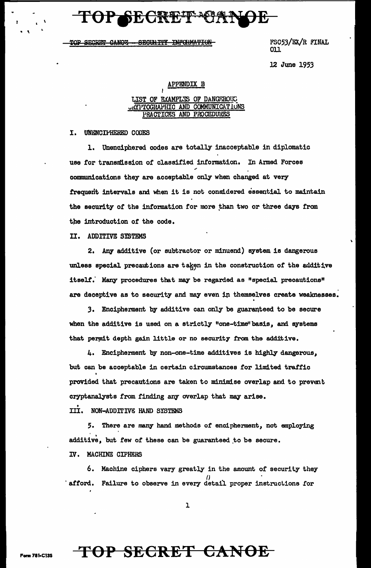# TOP SECRET 1639

TOP SECRET CANOZ - SECURITY INFORMATION

FSC53/EX/R FINAL 011

12 June 1953

### **APPENDIX B**

### LIST OF EXAMPLES OF DANGEROUS URYPTOGRAPHIC AND COMMUNICATIONS **AND**

#### I. UNENCIPHERED CODES

1. Unenciphered codes are totally inacceptable in diplomatic use for transmission of classified information. In Armed Forces communications they are acceptable only when changed at very frequent intervals and when it is not considered essential to maintain the security of the information for more than two or three days from the introduction of the code.

II. ADDITIVE SYSTEMS

2. Any additive (or subtractor or minuend) system is dangerous unless special precautions are taken in the construction of the additive itself. Many procedures that may be regarded as "special precautions" are deceptive as to security and may even in themselves create weaknesses.

3. Encipherment by additive can only be guaranteed to be secure when the additive is used on a strictly "one-time" basis, and systems that permit depth gain little or no security from the additive.

4. Encipherment by non-one-time additives is highly dangerous, but can be acceptable in certain circumstances for limited traffic provided that precautions are taken to minimise overlap and to prevent cryptanalysts from finding any overlap that may arise.

III. NON-ADDITIVE HAND SYSTEMS

5. There are many hand methods of encipherment, not employing additive, but few of these can be guaranteed to be secure.

IV. MACHINE CIPHERS

6. Machine ciphers vary greatly in the amount of security they 'afford. Failure to observe in every detail proper instructions for

 $\mathbf 1$ 

TOP SECRET CANOE

m 781-C135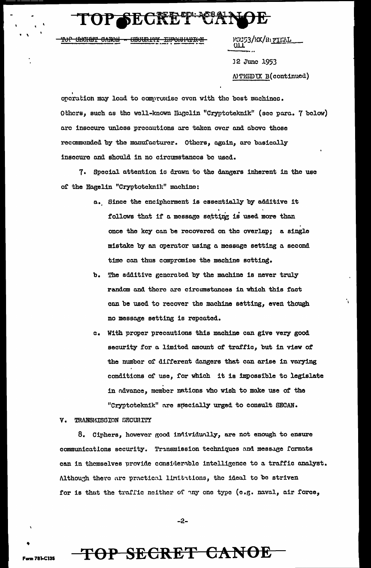**MUGI** 

**CECURITY INFORMATION** <del>аліюн</del>

3/EX/Ru<u>filial</u>

12 June 1953 **N'TEIDUX B(continued)** 

operation may lead to compromise even with the best machines. Others, such as the well-known Hugelin "Cryptoteknik" (see para. 7 below) are insecure unless precautions are taken over and above those recommended by the manufacturer. Others, again, are basically insecure and should in no circumstances be used.

7. Special attention is drawn to the dangers inherent in the use of the Hagelin "Cryptotcknik" machine:

- a. Since the encipherment is essentially by additive it follows that if a message setting is used more than once the key can be recovered on the overlap; a single mistake by an operator using a message setting a second time can thus compromise the machine setting.
- b. The additive generated by the machine is never truly random and there are circumstances in which this fact can be used to recover the machine setting, even though no message setting is repeated.
- c. With proper precautions this machine can give very good security for a limited amount of traffic, but in view of the number of different dangers that can arise in varying conditions of use, for which it is impossible to legislate in advance, member nations who wish to make use of the "Cryptoteknik" are specially urged to consult SECAN.

#### v. TRANSMISSION SECURITY

m 781-C135

8. Ciphers, however good individually, are not enough to ensure communications security. Transmission techniques and message formats can in themselves provide considerable intelligence to a traffic analyst. Although there are practical limitations, the ideal to be striven for is that the traffic neither of any one type (e.g. naval, air force,

-2-